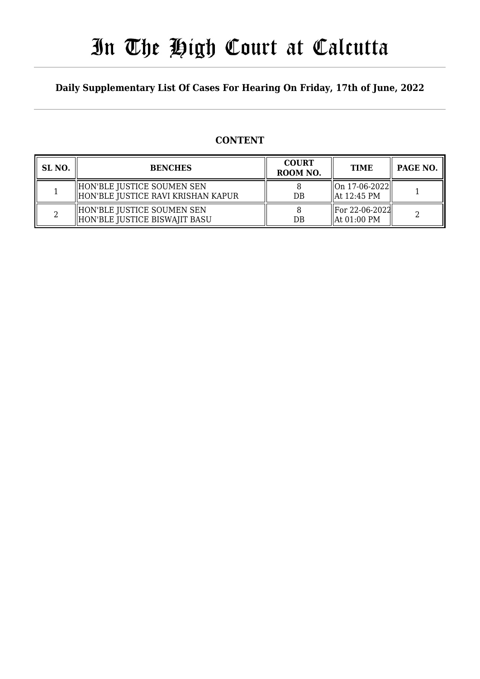# In The High Court at Calcutta

## **Daily Supplementary List Of Cases For Hearing On Friday, 17th of June, 2022**

## **CONTENT**

| SL <sub>NO</sub> . | <b>BENCHES</b>                                                   | <b>COURT</b><br>ROOM NO. | <b>TIME</b>                      | PAGE NO. |
|--------------------|------------------------------------------------------------------|--------------------------|----------------------------------|----------|
|                    | HON'BLE JUSTICE SOUMEN SEN<br>HON'BLE JUSTICE RAVI KRISHAN KAPUR | DB                       | On 17-06-2022  <br>llAt 12:45 PM |          |
|                    | HON'BLE JUSTICE SOUMEN SEN<br>HON'BLE JUSTICE BISWAJIT BASU      | DB                       | For 22-06-2022 <br>  At 01:00 PM |          |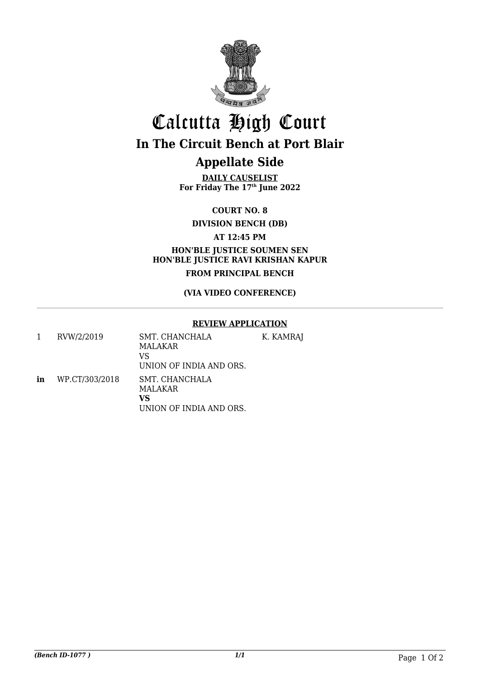

## Calcutta High Court **In The Circuit Bench at Port Blair**

## **Appellate Side**

**DAILY CAUSELIST For Friday The 17th June 2022**

**COURT NO. 8**

**DIVISION BENCH (DB)**

**AT 12:45 PM**

**HON'BLE JUSTICE SOUMEN SEN HON'BLE JUSTICE RAVI KRISHAN KAPUR FROM PRINCIPAL BENCH**

## **(VIA VIDEO CONFERENCE)**

## **REVIEW APPLICATION**

|    | RVW/2/2019     | SMT. CHANCHALA<br>MALAKAR<br>VS<br>UNION OF INDIA AND ORS. | K. KAMRAJ |
|----|----------------|------------------------------------------------------------|-----------|
| in | WP.CT/303/2018 | SMT. CHANCHALA<br>MALAKAR<br>VS<br>UNION OF INDIA AND ORS. |           |